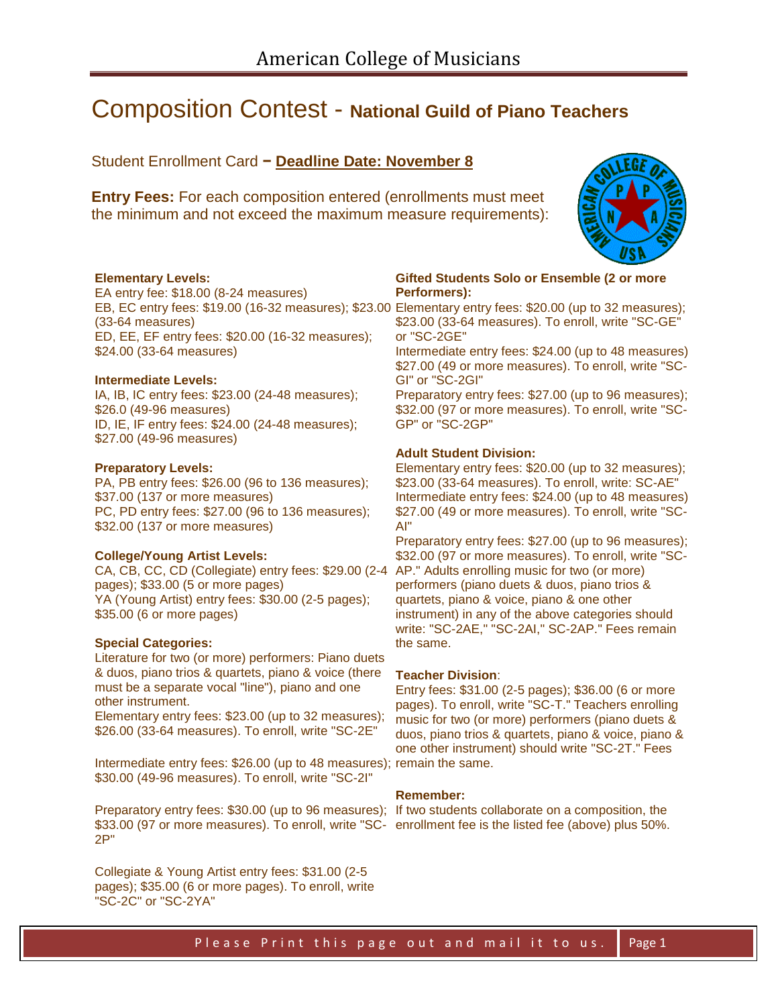# Composition Contest - **National Guild of Piano Teachers**

Student Enrollment Card **− Deadline Date: November 8**

**Entry Fees:** For each composition entered (enrollments must meet the minimum and not exceed the maximum measure requirements):



#### **Elementary Levels:**

EA entry fee: \$18.00 (8-24 measures) (33-64 measures) ED, EE, EF entry fees: \$20.00 (16-32 measures); \$24.00 (33-64 measures)

## **Intermediate Levels:**

IA, IB, IC entry fees: \$23.00 (24-48 measures); \$26.0 (49-96 measures) ID, IE, IF entry fees: \$24.00 (24-48 measures); \$27.00 (49-96 measures)

#### **Preparatory Levels:**

PA, PB entry fees: \$26.00 (96 to 136 measures); \$37.00 (137 or more measures) PC, PD entry fees: \$27.00 (96 to 136 measures); \$32.00 (137 or more measures)

#### **College/Young Artist Levels:**

CA, CB, CC, CD (Collegiate) entry fees: \$29.00 (2-4 AP." Adults enrolling music for two (or more) pages); \$33.00 (5 or more pages) YA (Young Artist) entry fees: \$30.00 (2-5 pages); \$35.00 (6 or more pages)

#### **Special Categories:**

Literature for two (or more) performers: Piano duets & duos, piano trios & quartets, piano & voice (there must be a separate vocal "line"), piano and one other instrument.

Elementary entry fees: \$23.00 (up to 32 measures); \$26.00 (33-64 measures). To enroll, write "SC-2E"

Intermediate entry fees: \$26.00 (up to 48 measures); remain the same. \$30.00 (49-96 measures). To enroll, write "SC-2I"

Preparatory entry fees: \$30.00 (up to 96 measures); If two students collaborate on a composition, the \$33.00 (97 or more measures). To enroll, write "SC-enrollment fee is the listed fee (above) plus 50%.2P"

Collegiate & Young Artist entry fees: \$31.00 (2-5 pages); \$35.00 (6 or more pages). To enroll, write "SC-2C" or "SC-2YA"

#### **Gifted Students Solo or Ensemble (2 or more Performers):**

EB, EC entry fees: \$19.00 (16-32 measures); \$23.00 Elementary entry fees: \$20.00 (up to 32 measures); \$23.00 (33-64 measures). To enroll, write "SC-GE" or "SC-2GE"

Intermediate entry fees: \$24.00 (up to 48 measures) \$27.00 (49 or more measures). To enroll, write "SC-GI" or "SC-2GI"

Preparatory entry fees: \$27.00 (up to 96 measures); \$32.00 (97 or more measures). To enroll, write "SC-GP" or "SC-2GP"

### **Adult Student Division:**

Elementary entry fees: \$20.00 (up to 32 measures); \$23.00 (33-64 measures). To enroll, write: SC-AE" Intermediate entry fees: \$24.00 (up to 48 measures) \$27.00 (49 or more measures). To enroll, write "SC-AI"

Preparatory entry fees: \$27.00 (up to 96 measures); \$32.00 (97 or more measures). To enroll, write "SCperformers (piano duets & duos, piano trios & quartets, piano & voice, piano & one other instrument) in any of the above categories should write: "SC-2AE," "SC-2AI," SC-2AP." Fees remain the same.

#### **Teacher Division**:

Entry fees: \$31.00 (2-5 pages); \$36.00 (6 or more pages). To enroll, write "SC-T." Teachers enrolling music for two (or more) performers (piano duets & duos, piano trios & quartets, piano & voice, piano & one other instrument) should write "SC-2T." Fees

## **Remember:**